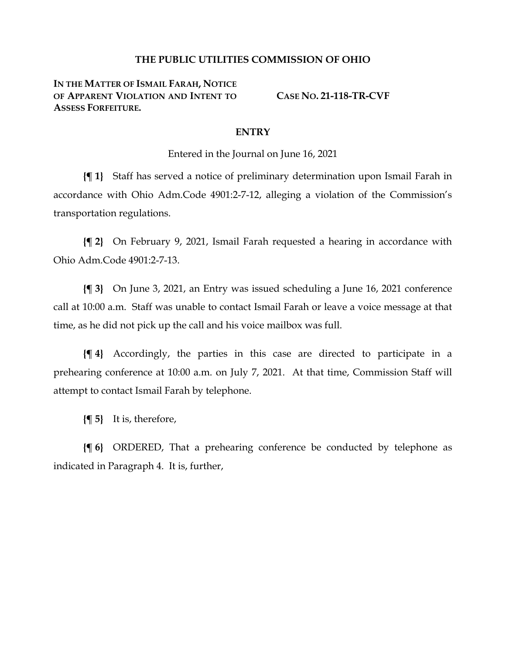## **THE PUBLIC UTILITIES COMMISSION OF OHIO**

**IN THE MATTER OF ISMAIL FARAH, NOTICE OF APPARENT VIOLATION AND INTENT TO ASSESS FORFEITURE.**

**CASE NO. 21-118-TR-CVF**

## **ENTRY**

Entered in the Journal on June 16, 2021

**{¶ 1}** Staff has served a notice of preliminary determination upon Ismail Farah in accordance with Ohio Adm.Code 4901:2-7-12, alleging a violation of the Commission's transportation regulations.

**{¶ 2}** On February 9, 2021, Ismail Farah requested a hearing in accordance with Ohio Adm.Code 4901:2-7-13.

**{¶ 3}** On June 3, 2021, an Entry was issued scheduling a June 16, 2021 conference call at 10:00 a.m. Staff was unable to contact Ismail Farah or leave a voice message at that time, as he did not pick up the call and his voice mailbox was full.

**{¶ 4}** Accordingly, the parties in this case are directed to participate in a prehearing conference at 10:00 a.m. on July 7, 2021. At that time, Commission Staff will attempt to contact Ismail Farah by telephone.

**{¶ 5}** It is, therefore,

**{¶ 6}** ORDERED, That a prehearing conference be conducted by telephone as indicated in Paragraph 4. It is, further,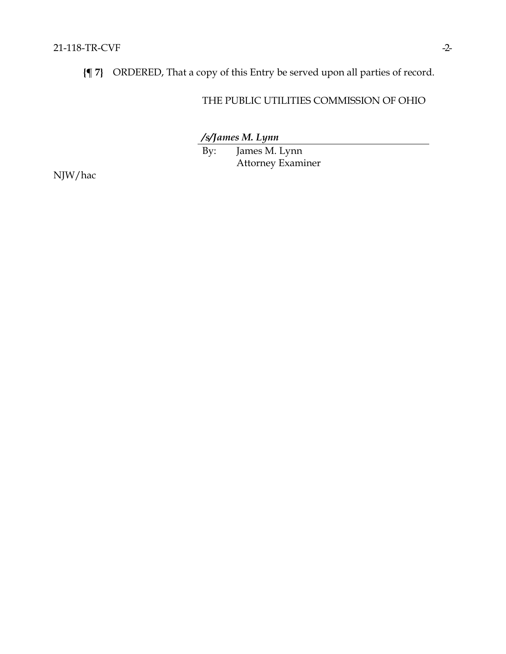**{¶ 7}** ORDERED, That a copy of this Entry be served upon all parties of record.

## THE PUBLIC UTILITIES COMMISSION OF OHIO

*/s/James M. Lynn*

By: James M. Lynn Attorney Examiner

NJW/hac